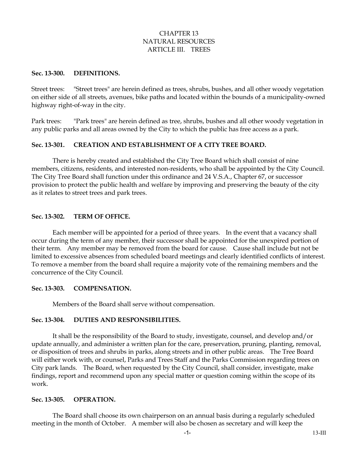## CHAPTER 13 NATURAL RESOURCES ARTICLE III. TREES

#### **Sec. 13-300. DEFINITIONS.**

Street trees: "Street trees" are herein defined as trees, shrubs, bushes, and all other woody vegetation on either side of all streets, avenues, bike paths and located within the bounds of a municipality-owned highway right-of-way in the city.

Park trees: "Park trees" are herein defined as tree, shrubs, bushes and all other woody vegetation in any public parks and all areas owned by the City to which the public has free access as a park.

## **Sec. 13-301. CREATION AND ESTABLISHMENT OF A CITY TREE BOARD.**

There is hereby created and established the City Tree Board which shall consist of nine members, citizens, residents, and interested non-residents, who shall be appointed by the City Council. The City Tree Board shall function under this ordinance and 24 V.S.A., Chapter 67, or successor provision to protect the public health and welfare by improving and preserving the beauty of the city as it relates to street trees and park trees.

#### **Sec. 13-302. TERM OF OFFICE.**

Each member will be appointed for a period of three years. In the event that a vacancy shall occur during the term of any member, their successor shall be appointed for the unexpired portion of their term. Any member may be removed from the board for cause. Cause shall include but not be limited to excessive absences from scheduled board meetings and clearly identified conflicts of interest. To remove a member from the board shall require a majority vote of the remaining members and the concurrence of the City Council.

#### **Sec. 13-303. COMPENSATION.**

Members of the Board shall serve without compensation.

### **Sec. 13-304. DUTIES AND RESPONSIBILITIES.**

It shall be the responsibility of the Board to study, investigate, counsel, and develop and/or update annually, and administer a written plan for the care, preservation, pruning, planting, removal, or disposition of trees and shrubs in parks, along streets and in other public areas. The Tree Board will either work with, or counsel, Parks and Trees Staff and the Parks Commission regarding trees on City park lands. The Board, when requested by the City Council, shall consider, investigate, make findings, report and recommend upon any special matter or question coming within the scope of its work.

#### **Sec. 13-305. OPERATION.**

The Board shall choose its own chairperson on an annual basis during a regularly scheduled meeting in the month of October. A member will also be chosen as secretary and will keep the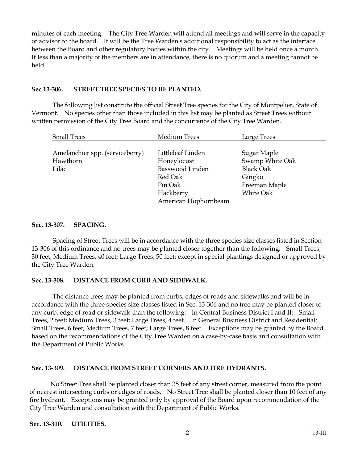minutes of each meeting. The City Tree Warden will attend all meetings and will serve in the capacity of advisor to the board. It will be the Tree Warden's additional responsibility to act as the interface between the Board and other regulatory bodies within the city. Meetings will be held once a month. If less than a majority of the members are in attendance, there is no quorum and a meeting cannot be held.

#### **Sec 13-306. STREET TREE SPECIES TO BE PLANTED.**

The following list constitute the official Street Tree species for the City of Montpelier, State of Vermont. No species other than those included in this list may be planted as Street Trees without written permission of the City Tree Board and the concurrence of the City Tree Warden.

| <b>Small Trees</b>              | Medium Trees           | Large Trees      |
|---------------------------------|------------------------|------------------|
|                                 |                        |                  |
| Amelanchier spp. (serviceberry) | Littleleaf Linden      | Sugar Maple      |
| Hawthorn                        | Honeylocust            | Swamp White Oak  |
| Lilac                           | <b>Basswood Linden</b> | <b>Black Oak</b> |
|                                 | Red Oak                | Gingko           |
|                                 | Pin Oak                | Freeman Maple    |
|                                 | Hackberry              | <b>White Oak</b> |
|                                 | American Hophornbeam   |                  |

### **Sec. 13-307. SPACING.**

Spacing of Street Trees will be in accordance with the three species size classes listed in Section 13-306 of this ordinance and no trees may be planted closer together than the following: Small Trees, 30 feet; Medium Trees, 40 feet; Large Trees, 50 feet; except in special plantings designed or approved by the City Tree Warden.

### **Sec. 13-308. DISTANCE FROM CURB AND SIDEWALK.**

The distance trees may be planted from curbs, edges of roads and sidewalks and will be in accordance with the three species size classes listed in Sec. 13-306 and no tree may be planted closer to any curb, edge of road or sidewalk than the following: In Central Business District I and II: Small Trees, 2 feet; Medium Trees, 3 feet; Large Trees, 4 feet. In General Business District and Residential: Small Trees, 6 feet; Medium Trees, 7 feet; Large Trees, 8 feet. Exceptions may be granted by the Board based on the recommendations of the City Tree Warden on a case-by-case basis and consultation with the Department of Public Works.

### **Sec. 13-309. DISTANCE FROM STREET CORNERS AND FIRE HYDRANTS.**

No Street Tree shall be planted closer than 35 feet of any street corner, measured from the point of nearest intersecting curbs or edges of roads. No Street Tree shall be planted closer than 10 feet of any fire hydrant. Exceptions may be granted only by approval of the Board upon recommendation of the City Tree Warden and consultation with the Department of Public Works.

#### **Sec. 13-310. UTILITIES.**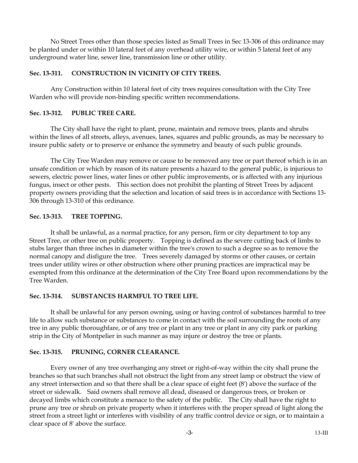No Street Trees other than those species listed as Small Trees in Sec 13-306 of this ordinance may be planted under or within 10 lateral feet of any overhead utility wire, or within 5 lateral feet of any underground water line, sewer line, transmission line or other utility.

### **Sec. 13-311. CONSTRUCTION IN VICINITY OF CITY TREES.**

Any Construction within 10 lateral feet of city trees requires consultation with the City Tree Warden who will provide non-binding specific written recommendations.

### **Sec. 13-312. PUBLIC TREE CARE.**

The City shall have the right to plant, prune, maintain and remove trees, plants and shrubs within the lines of all streets, alleys, avenues, lanes, squares and public grounds, as may be necessary to insure public safety or to preserve or enhance the symmetry and beauty of such public grounds.

The City Tree Warden may remove or cause to be removed any tree or part thereof which is in an unsafe condition or which by reason of its nature presents a hazard to the general public, is injurious to sewers, electric power lines, water lines or other public improvements, or is affected with any injurious fungus, insect or other pests. This section does not prohibit the planting of Street Trees by adjacent property owners providing that the selection and location of said trees is in accordance with Sections 13- 306 through 13-310 of this ordinance.

### **Sec. 13-313. TREE TOPPING.**

It shall be unlawful, as a normal practice, for any person, firm or city department to top any Street Tree, or other tree on public property. Topping is defined as the severe cutting back of limbs to stubs larger than three inches in diameter within the tree's crown to such a degree so as to remove the normal canopy and disfigure the tree. Trees severely damaged by storms or other causes, or certain trees under utility wires or other obstruction where other pruning practices are impractical may be exempted from this ordinance at the determination of the City Tree Board upon recommendations by the Tree Warden.

### **Sec. 13-314. SUBSTANCES HARMFUL TO TREE LIFE.**

It shall be unlawful for any person owning, using or having control of substances harmful to tree life to allow such substance or substances to come in contact with the soil surrounding the roots of any tree in any public thoroughfare, or of any tree or plant in any tree or plant in any city park or parking strip in the City of Montpelier in such manner as may injure or destroy the tree or plants.

### **Sec. 13-315. PRUNING, CORNER CLEARANCE.**

Every owner of any tree overhanging any street or right-of-way within the city shall prune the branches so that such branches shall not obstruct the light from any street lamp or obstruct the view of any street intersection and so that there shall be a clear space of eight feet (8') above the surface of the street or sidewalk. Said owners shall remove all dead, diseased or dangerous trees, or broken or decayed limbs which constitute a menace to the safety of the public. The City shall have the right to prune any tree or shrub on private property when it interferes with the proper spread of light along the street from a street light or interferes with visibility of any traffic control device or sign, or to maintain a clear space of 8' above the surface.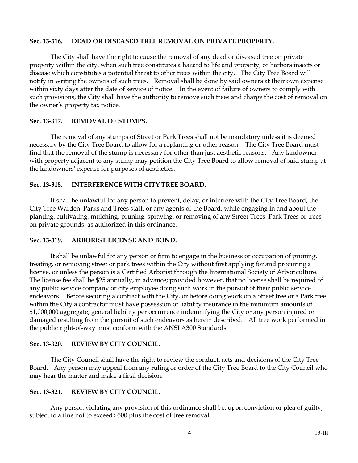#### **Sec. 13-316. DEAD OR DISEASED TREE REMOVAL ON PRIVATE PROPERTY.**

The City shall have the right to cause the removal of any dead or diseased tree on private property within the city, when such tree constitutes a hazard to life and property, or harbors insects or disease which constitutes a potential threat to other trees within the city. The City Tree Board will notify in writing the owners of such trees. Removal shall be done by said owners at their own expense within sixty days after the date of service of notice. In the event of failure of owners to comply with such provisions, the City shall have the authority to remove such trees and charge the cost of removal on the owner's property tax notice.

## **Sec. 13-317. REMOVAL OF STUMPS.**

The removal of any stumps of Street or Park Trees shall not be mandatory unless it is deemed necessary by the City Tree Board to allow for a replanting or other reason. The City Tree Board must find that the removal of the stump is necessary for other than just aesthetic reasons. Any landowner with property adjacent to any stump may petition the City Tree Board to allow removal of said stump at the landowners' expense for purposes of aesthetics.

## **Sec. 13-318. INTERFERENCE WITH CITY TREE BOARD.**

It shall be unlawful for any person to prevent, delay, or interfere with the City Tree Board, the City Tree Warden, Parks and Trees staff, or any agents of the Board, while engaging in and about the planting, cultivating, mulching, pruning, spraying, or removing of any Street Trees, Park Trees or trees on private grounds, as authorized in this ordinance.

### **Sec. 13-319. ARBORIST LICENSE AND BOND.**

It shall be unlawful for any person or firm to engage in the business or occupation of pruning, treating, or removing street or park trees within the City without first applying for and procuring a license, or unless the person is a Certified Arborist through the International Society of Arboriculture. The license fee shall be \$25 annually, in advance; provided however, that no license shall be required of any public service company or city employee doing such work in the pursuit of their public service endeavors. Before securing a contract with the City, or before doing work on a Street tree or a Park tree within the City a contractor must have possession of liability insurance in the minimum amounts of \$1,000,000 aggregate, general liability per occurrence indemnifying the City or any person injured or damaged resulting from the pursuit of such endeavors as herein described. All tree work performed in the public right-of-way must conform with the ANSI A300 Standards.

# **Sec. 13-320. REVIEW BY CITY COUNCIL.**

The City Council shall have the right to review the conduct, acts and decisions of the City Tree Board. Any person may appeal from any ruling or order of the City Tree Board to the City Council who may hear the matter and make a final decision.

### **Sec. 13-321. REVIEW BY CITY COUNCIL.**

Any person violating any provision of this ordinance shall be, upon conviction or plea of guilty, subject to a fine not to exceed \$500 plus the cost of tree removal.